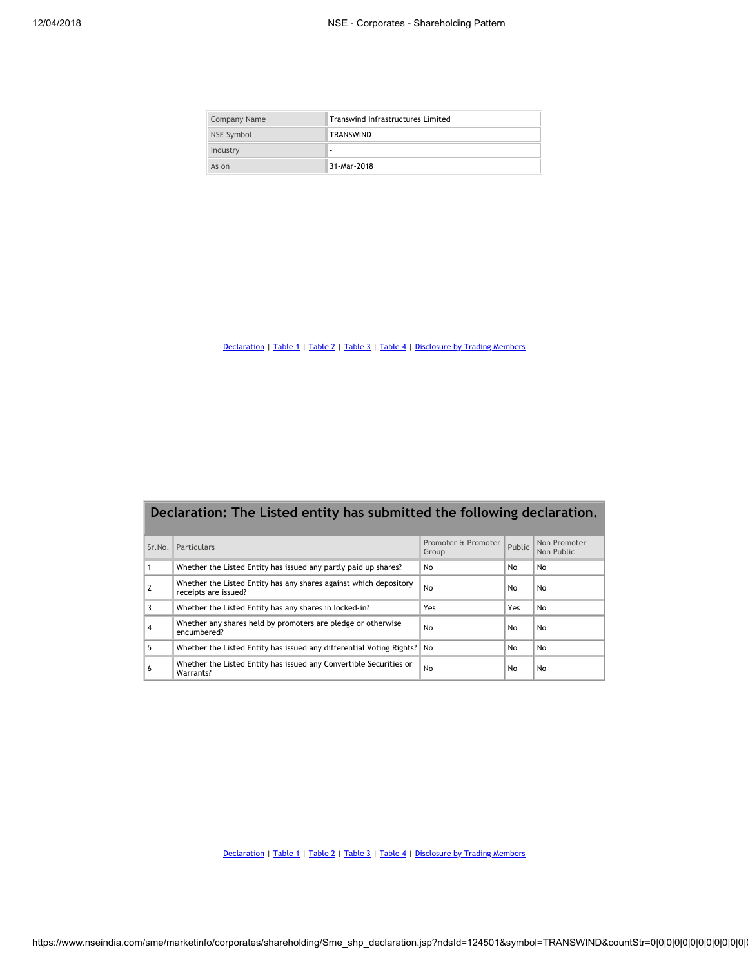| Company Name | <b>Transwind Infrastructures Limited</b> |  |  |  |  |  |
|--------------|------------------------------------------|--|--|--|--|--|
| NSE Symbol   | <b>TRANSWIND</b>                         |  |  |  |  |  |
| Industry     | ۰                                        |  |  |  |  |  |
| As on        | 31-Mar-2018                              |  |  |  |  |  |

[Declaration](https://www.nseindia.com/sme/marketinfo/corporates/shareholding/Sme_shp_declaration.jsp?ndsId=124501&symbol=TRANSWIND&asOnDate=31-Mar-2018&industry=-&CompanyName=Transwind) | [Table](https://www.nseindia.com/sme/marketinfo/corporates/shareholding/Sme_shp_table4.jsp?ndsId=124501&symbol=TRANSWIND&asOnDate=31-Mar-2018&industry=-&CompanyName=Transwind) 1 | Table 2 | Table 3 | Table 4 | [Disclosure](https://www.nseindia.com/sme/marketinfo/corporates/shareholding/Sme_shareholdingTMDetails_new.jsp?ndsId=124501&symbol=TRANSWIND&asOnDate=31-Mar-2018&industry=-&CompanyName=Transwind) by Trading Members

|                | Declaration: The Listed entity has submitted the following declaration.                   |                              |        |                            |
|----------------|-------------------------------------------------------------------------------------------|------------------------------|--------|----------------------------|
| Sr.No.         | Particulars                                                                               | Promoter & Promoter<br>Group | Public | Non Promoter<br>Non Public |
| 1              | Whether the Listed Entity has issued any partly paid up shares?                           | No                           | No     | No                         |
| $\overline{2}$ | Whether the Listed Entity has any shares against which depository<br>receipts are issued? | No                           | No     | No                         |
| 3              | Whether the Listed Entity has any shares in locked-in?                                    | Yes                          | Yes    | No                         |
| 4              | Whether any shares held by promoters are pledge or otherwise<br>encumbered?               | No                           | No     | No                         |
| 5              | Whether the Listed Entity has issued any differential Voting Rights?                      | No                           | No     | No                         |
| 6              | Whether the Listed Entity has issued any Convertible Securities or<br>Warrants?           | No                           | No     | No                         |

[Declaration](https://www.nseindia.com/sme/marketinfo/corporates/shareholding/Sme_shp_declaration.jsp?ndsId=124501&symbol=TRANSWIND&asOnDate=31-Mar-2018&industry=-&CompanyName=Transwind) | [Table](https://www.nseindia.com/sme/marketinfo/corporates/shareholding/Sme_shp_table4.jsp?ndsId=124501&symbol=TRANSWIND&asOnDate=31-Mar-2018&industry=-&CompanyName=Transwind) 1 | Table 2 | Table 3 | Table 4 | [Disclosure](https://www.nseindia.com/sme/marketinfo/corporates/shareholding/Sme_shareholdingTMDetails_new.jsp?ndsId=124501&symbol=TRANSWIND&asOnDate=31-Mar-2018&industry=-&CompanyName=Transwind) by Trading Members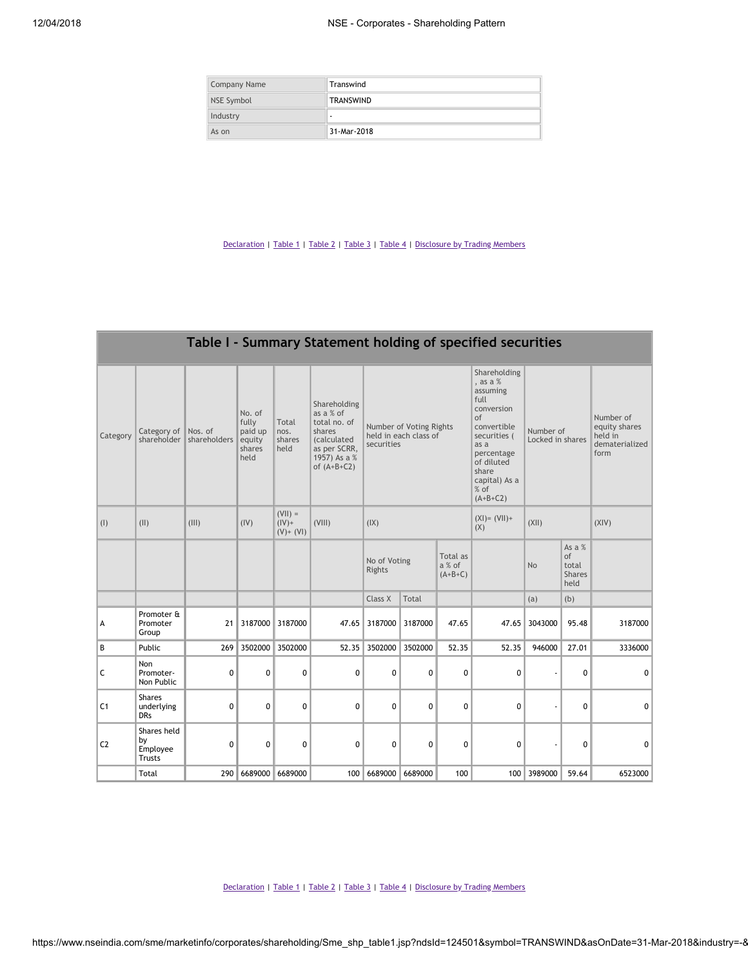| <b>Company Name</b> | Transwind   |
|---------------------|-------------|
| NSE Symbol          | TRANSWIND   |
| Industry            | ٠           |
| As on               | 31-Mar-2018 |

|                |                                                |              |                                                        |                                         |                                                                                                                            |                                                                                                                                                                             |             |             | Table I - Summary Statement holding of specified securities |                                                |                                                                            |                               |  |                                                                 |
|----------------|------------------------------------------------|--------------|--------------------------------------------------------|-----------------------------------------|----------------------------------------------------------------------------------------------------------------------------|-----------------------------------------------------------------------------------------------------------------------------------------------------------------------------|-------------|-------------|-------------------------------------------------------------|------------------------------------------------|----------------------------------------------------------------------------|-------------------------------|--|-----------------------------------------------------------------|
| Category       | Category of Nos. of<br>shareholder             | shareholders | No. of<br>fully<br>paid up<br>equity<br>shares<br>held | Total<br>nos.<br>shares<br>held         | Shareholding<br>as a % of<br>total no. of<br>shares<br><i>(calculated</i><br>as per SCRR,<br>1957) As a %<br>of $(A+B+C2)$ | , as a $%$<br>assuming<br>full<br>conversion<br>of<br>Number of Voting Rights<br>held in each class of<br>securities<br>as a<br>of diluted<br>share<br>$%$ of<br>$(A+B+C2)$ |             |             |                                                             |                                                | Shareholding<br>convertible<br>securities (<br>percentage<br>capital) As a | Number of<br>Locked in shares |  | Number of<br>equity shares<br>held in<br>dematerialized<br>form |
| (1)            | (11)                                           | (III)        | (IV)                                                   | $(VII) =$<br>$(IV) +$<br>$(V)$ + $(VI)$ | (VIII)                                                                                                                     | (IX)                                                                                                                                                                        |             |             | $(XI) = (VII) +$<br>(X)                                     | (X  )                                          |                                                                            | (XIV)                         |  |                                                                 |
|                |                                                |              |                                                        |                                         |                                                                                                                            | Total as<br>No of Voting<br>a % of<br>Rights<br>$(A+B+C)$                                                                                                                   |             |             | <b>No</b>                                                   | As a %<br>of<br>total<br><b>Shares</b><br>held |                                                                            |                               |  |                                                                 |
|                |                                                |              |                                                        |                                         |                                                                                                                            | Class X                                                                                                                                                                     | Total       |             |                                                             | (a)                                            | (b)                                                                        |                               |  |                                                                 |
| А              | Promoter &<br>Promoter<br>Group                | 21           | 3187000                                                | 3187000                                 | 47.65                                                                                                                      | 3187000                                                                                                                                                                     | 3187000     | 47.65       | 47.65                                                       | 3043000                                        | 95.48                                                                      | 3187000                       |  |                                                                 |
| В              | Public                                         | 269          | 3502000                                                | 3502000                                 | 52.35                                                                                                                      | 3502000                                                                                                                                                                     | 3502000     | 52.35       | 52.35                                                       | 946000                                         | 27.01                                                                      | 3336000                       |  |                                                                 |
| С              | Non<br>Promoter-<br>Non Public                 | 0            | 0                                                      | 0                                       | 0                                                                                                                          | 0                                                                                                                                                                           | 0           | 0           | 0                                                           |                                                | $\Omega$                                                                   | 0                             |  |                                                                 |
| C <sub>1</sub> | <b>Shares</b><br>underlying<br><b>DRs</b>      | $\mathbf 0$  | $\mathbf 0$                                            | $\mathbf 0$                             | $\mathbf{0}$                                                                                                               | $\mathbf 0$                                                                                                                                                                 | $\mathbf 0$ | $\mathbf 0$ | $\mathbf{0}$                                                |                                                | 0                                                                          | $\mathbf 0$                   |  |                                                                 |
| C <sub>2</sub> | Shares held<br>bν<br>Employee<br><b>Trusts</b> | 0            | $\Omega$                                               | 0                                       | 0                                                                                                                          | 0                                                                                                                                                                           | 0           | $\Omega$    | $\Omega$                                                    |                                                | $\Omega$                                                                   | $\Omega$                      |  |                                                                 |
|                | Total                                          | 290          | 6689000 6689000                                        |                                         | 100                                                                                                                        | 6689000 6689000                                                                                                                                                             |             | 100         |                                                             | 100 3989000                                    | 59.64                                                                      | 6523000                       |  |                                                                 |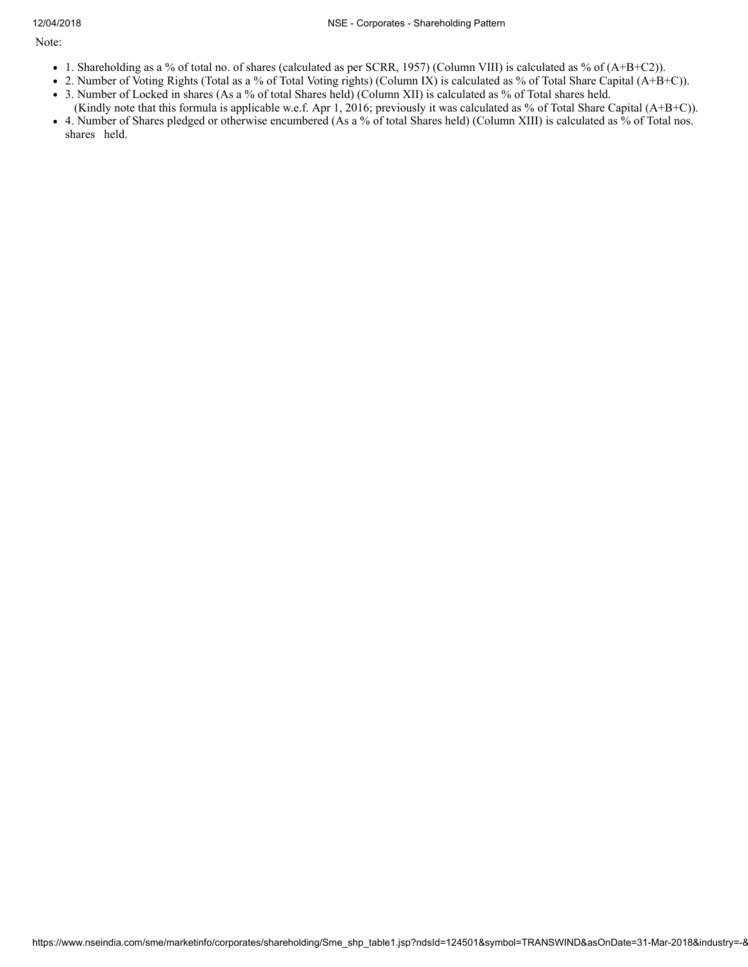Note:

- 1. Shareholding as a % of total no. of shares (calculated as per SCRR, 1957) (Column VIII) is calculated as % of (A+B+C2)).
- 2. Number of Voting Rights (Total as a % of Total Voting rights) (Column IX) is calculated as % of Total Share Capital (A+B+C)).
- 3. Number of Locked in shares (As a % of total Shares held) (Column XII) is calculated as % of Total shares held. (Kindly note that this formula is applicable w.e.f. Apr 1, 2016; previously it was calculated as % of Total Share Capital (A+B+C)).
- 4. Number of Shares pledged or otherwise encumbered (As a % of total Shares held) (Column XIII) is calculated as % of Total nos. shares held.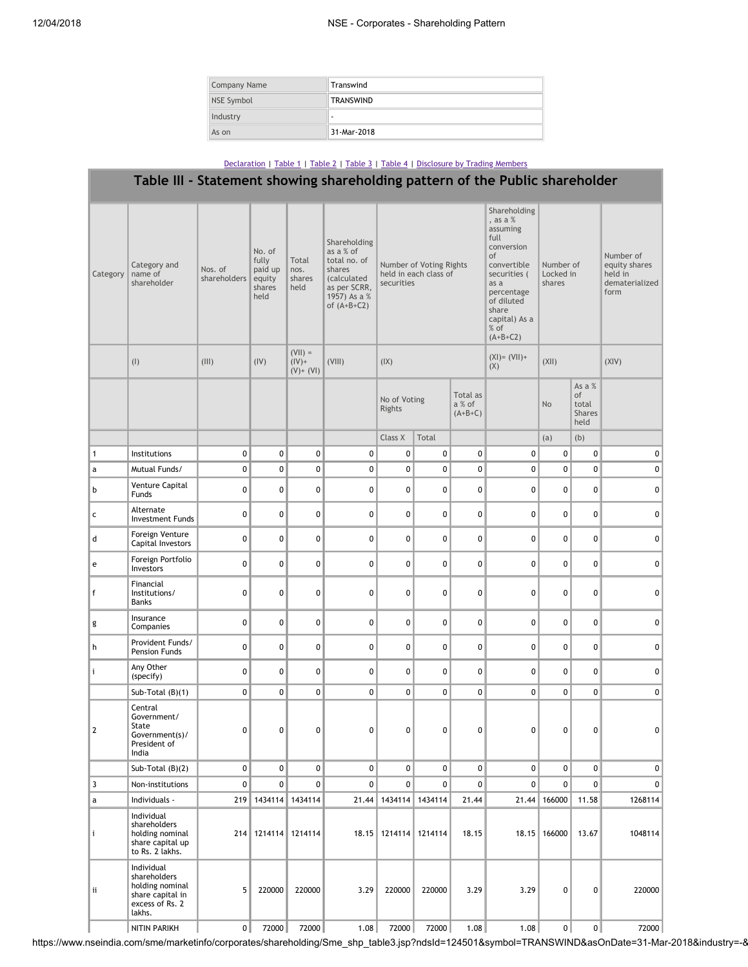| Company Name | Transwind        |
|--------------|------------------|
| NSE Symbol   | <b>TRANSWIND</b> |
| Industry     | $\blacksquare$   |
| As on        | 31-Mar-2018      |

### Table III - Statement showing shareholding pattern of the Public shareholder Category Category and name of shareholder Nos. of shareholders No. of fully paid up equity shares held Total nos. shares held Shareholding as a % of total no. of shares (calculated as per SCRR, 1957) As a % of (A+B+C2) Number of Voting Rights held in each class of securities Shareholding , as a % assuming full conversion of convertible securities ( as a percentage of diluted share capital) As a % of (A+B+C2) Number of Locked in shares Number of equity shares held in dematerialized form (I)  $(|\text{III}|)$   $(|\text{V}|)$  $(VII) =$  $(IV)^+$  $(V)$  +  $(VI)$  $(VIII)$   $(|X|)$ (XI)= (VII)+ (X)  $(XII)$   $(XIV)$ No of Voting Rights Total as a % of  $(A+B+C)$ No As a % of total Shares held Class X  $\begin{array}{|c|c|c|c|c|c|}\n\hline\n\end{array}$  (a) (b) 1 Institutions 0 0 0 0 0 0 0 0 0 0 0 a Mutual Funds/ 0 0 0 0 0 0 0 0 0 0 0 b Venture Capital Funds 0 0 0 0 0 0 0 0 0 0 0 c Alternate Investment Funds 0 0 0 0 0 0 0 0 0 0 0 d Foreign Venture Capital Investors 0 0 0 0 0 0 0 0 0 0 0 e Foreign Portfolio Investors 0 0 0 0 0 0 0 0 0 0 0 f Financial Institutions/ Banks 0 0 0 0 0 0 0 0 0 0 0 g Insurance Companies 0 0 0 0 0 0 0 0 0 0 0 h Provident Funds/ Pension Funds 0 0 0 0 0 0 0 0 0 0 0 i Any Other (specify) 0 0 0 0 0 0 0 0 0 0 0 Sub-Total (B)(1) 0 0 0 0 0 0 0 0 0 0 0 2 Central Government/ State Government(s)/ President of India 0 0 0 0 0 0 0 0 0 0 Sub-Total (B)(2) 0 0 0 0 0 0 0 0 0 0 0 3 Non-institutions 0 0 0 0 0 0 0 0 0 0 0 a Individuals - 219 1434114 1434114 21.44 1434114 1434114 21.44 21.44 166000 11.58 1268114 i Individual shareholders holding nominal share capital up to Rs. 2 lakhs. 214 1214114 1214114 18.15 1214114 1214114 18.15 18.15 166000 13.67 1048114 ii Individual shareholders holding nominal share capital in excess of Rs. 2 lakhs. 5 220000 220000 3.29 220000 220000 3.29 3.29 0 0 220000 NITIN PARIKH 0 72000 72000 1.08 72000 72000 1.08 1.08 0 0 72000

https://www.nseindia.com/sme/marketinfo/corporates/shareholding/Sme\_shp\_table3.jsp?ndsId=124501&symbol=TRANSWIND&asOnDate=31-Mar-2018&industry=-&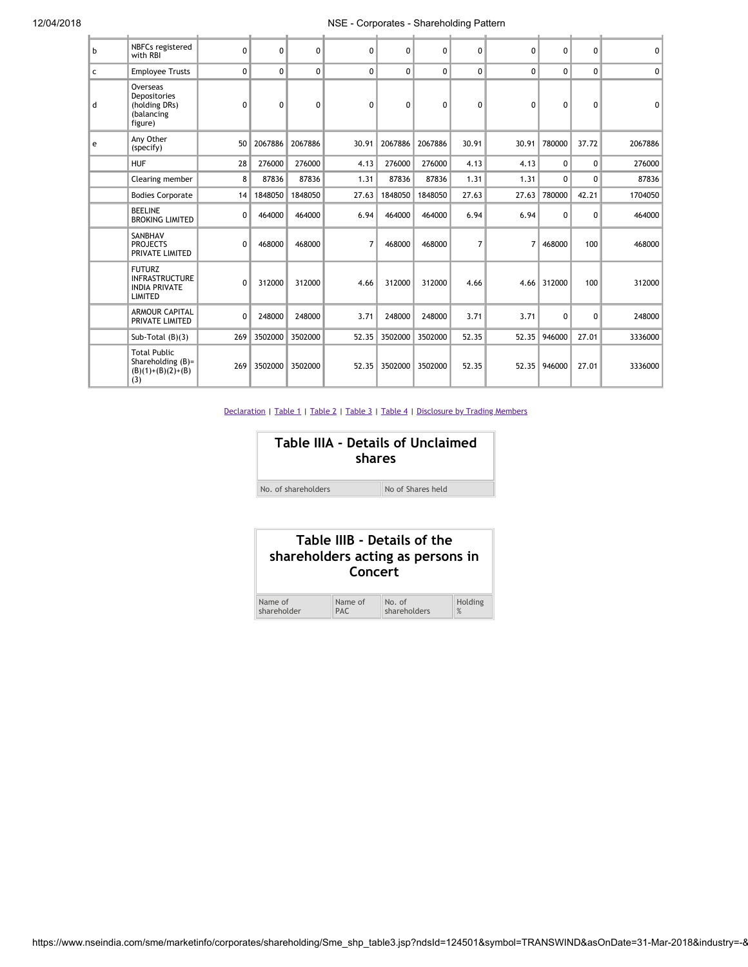## 12/04/2018 NSE - Corporates - Shareholding Pattern

| $\mathbf b$  | NBFCs registered<br>with RBI                                                     | $\Omega$    | 0            | $\Omega$ | $\mathbf{0}$   | $\Omega$ | 0       | $\mathbf{0}$ | $\Omega$ | $\mathbf{0}$ | $\Omega$ | $\Omega$       |
|--------------|----------------------------------------------------------------------------------|-------------|--------------|----------|----------------|----------|---------|--------------|----------|--------------|----------|----------------|
| $\mathsf{C}$ | <b>Employee Trusts</b>                                                           | $\mathbf 0$ | 0            | $\Omega$ | $\Omega$       | $\Omega$ | 0       | $\mathbf{0}$ | $\Omega$ | $\Omega$     | $\Omega$ | 0 <sup>1</sup> |
| d            | Overseas<br>Depositories<br>(holding DRs)<br>(balancing<br>figure)               | $\mathbf 0$ | $\mathbf{0}$ | $\Omega$ | $\mathbf{0}$   | $\Omega$ | 0       | $\mathbf{0}$ | $\Omega$ | 0            | $\Omega$ | $\Omega$       |
| e            | Any Other<br>(specify)                                                           | 50          | 2067886      | 2067886  | 30.91          | 2067886  | 2067886 | 30.91        | 30.91    | 780000       | 37.72    | 2067886        |
|              | <b>HUF</b>                                                                       | 28          | 276000       | 276000   | 4.13           | 276000   | 276000  | 4.13         | 4.13     | 0            | $\Omega$ | 276000         |
|              | Clearing member                                                                  | 8           | 87836        | 87836    | 1.31           | 87836    | 87836   | 1.31         | 1.31     | $\Omega$     | $\Omega$ | 87836          |
|              | <b>Bodies Corporate</b>                                                          | 14          | 1848050      | 1848050  | 27.63          | 1848050  | 1848050 | 27.63        | 27.63    | 780000       | 42.21    | 1704050        |
|              | <b>BEELINE</b><br><b>BROKING LIMITED</b>                                         | $\Omega$    | 464000       | 464000   | 6.94           | 464000   | 464000  | 6.94         | 6.94     | $\Omega$     | $\Omega$ | 464000         |
|              | SANBHAV<br><b>PROJECTS</b><br>PRIVATE LIMITED                                    | 0           | 468000       | 468000   | $\overline{7}$ | 468000   | 468000  | 7            | 7        | 468000       | 100      | 468000         |
|              | <b>FUTURZ</b><br><b>INFRASTRUCTURE</b><br><b>INDIA PRIVATE</b><br><b>LIMITED</b> | $\mathbf 0$ | 312000       | 312000   | 4.66           | 312000   | 312000  | 4.66         | 4.66     | 312000       | 100      | 312000         |
|              | <b>ARMOUR CAPITAL</b><br>PRIVATE LIMITED                                         | $\mathbf 0$ | 248000       | 248000   | 3.71           | 248000   | 248000  | 3.71         | 3.71     | $\Omega$     | $\Omega$ | 248000         |
|              | Sub-Total $(B)(3)$                                                               | 269         | 3502000      | 3502000  | 52.35          | 3502000  | 3502000 | 52.35        | 52.35    | 946000       | 27.01    | 3336000        |
|              | <b>Total Public</b><br>Shareholding (B)=<br>$(B)(1)+(B)(2)+(B)$<br>(3)           | 269         | 3502000      | 3502000  | 52.35          | 3502000  | 3502000 | 52.35        | 52.35    | 946000       | 27.01    | 3336000        |

|                     | Table IIIA - Details of Unclaimed<br>shares |
|---------------------|---------------------------------------------|
| No. of shareholders | No of Shares held                           |

|             | Table IIIB - Details of the<br>shareholders acting as persons in<br>Concert |              |         |  |  |  |  |  |  |
|-------------|-----------------------------------------------------------------------------|--------------|---------|--|--|--|--|--|--|
| Name of     | Name of                                                                     | No. of       | Holding |  |  |  |  |  |  |
| shareholder | <b>PAC</b>                                                                  | shareholders | %       |  |  |  |  |  |  |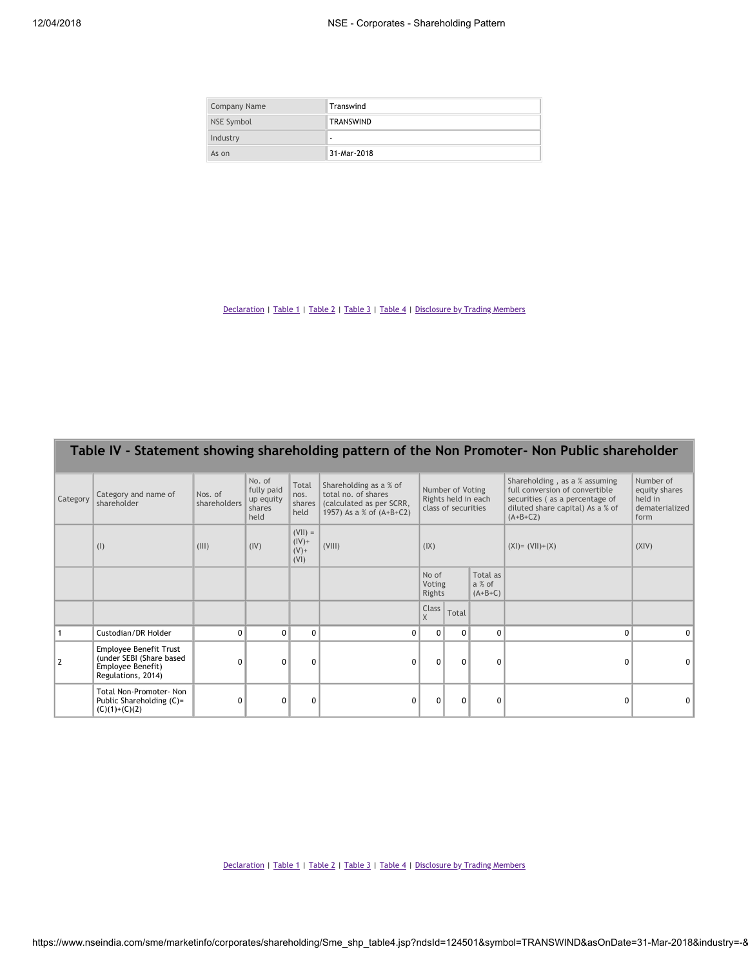| Company Name | Transwind        |
|--------------|------------------|
| NSE Symbol   | <b>TRANSWIND</b> |
| Industry     | ۰                |
| As on        | 31-Mar-2018      |

|          |                                                                                               |                         |                                                     |                                          |                                                                                                       |                                                                |              |          | Table IV - Statement showing shareholding pattern of the Non Promoter- Non Public shareholder |          |                                                                                                                                                     |                                                                 |
|----------|-----------------------------------------------------------------------------------------------|-------------------------|-----------------------------------------------------|------------------------------------------|-------------------------------------------------------------------------------------------------------|----------------------------------------------------------------|--------------|----------|-----------------------------------------------------------------------------------------------|----------|-----------------------------------------------------------------------------------------------------------------------------------------------------|-----------------------------------------------------------------|
| Category | Category and name of<br>shareholder                                                           | Nos. of<br>shareholders | No. of<br>fully paid<br>up equity<br>shares<br>held | Total<br>nos.<br>shares<br>held          | Shareholding as a % of<br>total no. of shares<br>(calculated as per SCRR,<br>1957) As a % of (A+B+C2) | Number of Voting<br>Rights held in each<br>class of securities |              |          |                                                                                               |          | Shareholding, as a % assuming<br>full conversion of convertible<br>securities (as a percentage of<br>diluted share capital) As a % of<br>$(A+B+C2)$ | Number of<br>equity shares<br>held in<br>dematerialized<br>form |
|          | (1)                                                                                           | (III)                   | (IV)                                                | $(VII) =$<br>$(IV) +$<br>$(V)$ +<br>(VI) | (VIII)                                                                                                | (IX)                                                           |              |          |                                                                                               |          | $(XI) = (VII)+(X)$                                                                                                                                  | (XIV)                                                           |
|          |                                                                                               |                         |                                                     |                                          |                                                                                                       | No of<br>Total as<br>Voting<br>a % of<br>Rights<br>$(A+B+C)$   |              |          |                                                                                               |          |                                                                                                                                                     |                                                                 |
|          |                                                                                               |                         |                                                     |                                          |                                                                                                       | Class<br>$\sf X$                                               | Total        |          |                                                                                               |          |                                                                                                                                                     |                                                                 |
|          | Custodian/DR Holder                                                                           | $\Omega$                | $\mathbf{0}$                                        | $\Omega$                                 | 0                                                                                                     | $\Omega$                                                       | $\Omega$     | $\Omega$ | $\Omega$                                                                                      | $\Omega$ |                                                                                                                                                     |                                                                 |
| 2        | Employee Benefit Trust<br>(under SEBI (Share based<br>Employee Benefit)<br>Regulations, 2014) | $\Omega$                | $\Omega$                                            | $\Omega$                                 | $\Omega$                                                                                              | $\Omega$                                                       | $\mathbf{0}$ | $\Omega$ | O                                                                                             |          |                                                                                                                                                     |                                                                 |
|          | Total Non-Promoter- Non<br>Public Shareholding (C)=<br>$(C)(1)+(C)(2)$                        | $\Omega$                | $\mathbf 0$                                         | $\mathbf{0}$                             | 0                                                                                                     | $\Omega$                                                       | $\Omega$     | 0        |                                                                                               | 0        |                                                                                                                                                     |                                                                 |